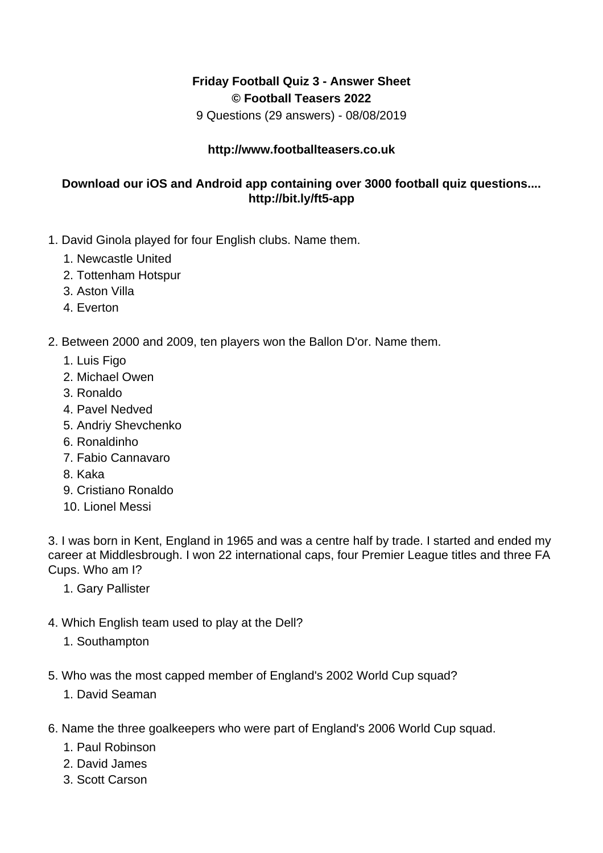## **Friday Football Quiz 3 - Answer Sheet © Football Teasers 2022**

9 Questions (29 answers) - 08/08/2019

## **http://www.footballteasers.co.uk**

## **Download our iOS and Android app containing over 3000 football quiz questions.... http://bit.ly/ft5-app**

- 1. David Ginola played for four English clubs. Name them.
	- 1. Newcastle United
	- 2. Tottenham Hotspur
	- 3. Aston Villa
	- 4. Everton
- 2. Between 2000 and 2009, ten players won the Ballon D'or. Name them.
	- 1. Luis Figo
	- 2. Michael Owen
	- 3. Ronaldo
	- 4. Pavel Nedved
	- 5. Andriy Shevchenko
	- 6. Ronaldinho
	- 7. Fabio Cannavaro
	- 8. Kaka
	- 9. Cristiano Ronaldo
	- 10. Lionel Messi

3. I was born in Kent, England in 1965 and was a centre half by trade. I started and ended my career at Middlesbrough. I won 22 international caps, four Premier League titles and three FA Cups. Who am I?

- 1. Gary Pallister
- 4. Which English team used to play at the Dell?
	- 1. Southampton
- 5. Who was the most capped member of England's 2002 World Cup squad?
	- 1. David Seaman
- 6. Name the three goalkeepers who were part of England's 2006 World Cup squad.
	- 1. Paul Robinson
	- 2. David James
	- 3. Scott Carson